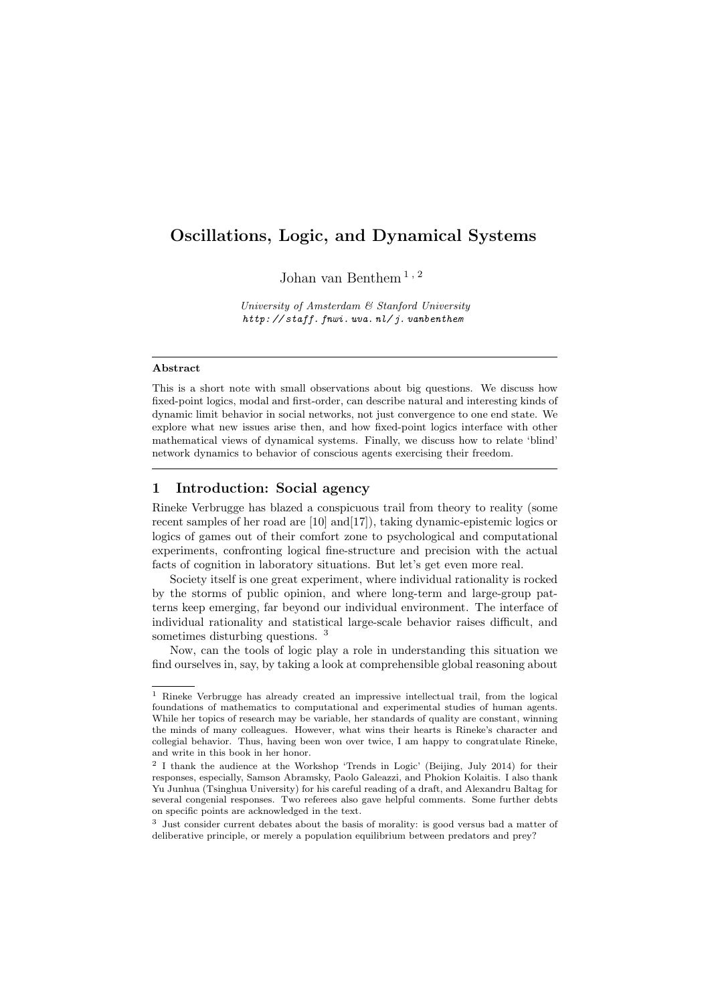# Oscillations, Logic, and Dynamical Systems

Johan van Benthem [1](#page-0-0) , [2](#page-0-1)

University of Amsterdam & Stanford University [http: // staff. fnwi. uva. nl/ j. vanbenthem](http://staff.fnwi.uva.nl/j.vanbenthem)

#### Abstract

This is a short note with small observations about big questions. We discuss how fixed-point logics, modal and first-order, can describe natural and interesting kinds of dynamic limit behavior in social networks, not just convergence to one end state. We explore what new issues arise then, and how fixed-point logics interface with other mathematical views of dynamical systems. Finally, we discuss how to relate 'blind' network dynamics to behavior of conscious agents exercising their freedom.

# 1 Introduction: Social agency

Rineke Verbrugge has blazed a conspicuous trail from theory to reality (some recent samples of her road are [\[10\]](#page-12-0) and[\[17\]](#page-13-0)), taking dynamic-epistemic logics or logics of games out of their comfort zone to psychological and computational experiments, confronting logical fine-structure and precision with the actual facts of cognition in laboratory situations. But let's get even more real.

Society itself is one great experiment, where individual rationality is rocked by the storms of public opinion, and where long-term and large-group patterns keep emerging, far beyond our individual environment. The interface of individual rationality and statistical large-scale behavior raises difficult, and sometimes disturbing questions. [3](#page-0-2)

Now, can the tools of logic play a role in understanding this situation we find ourselves in, say, by taking a look at comprehensible global reasoning about

<span id="page-0-0"></span><sup>1</sup> Rineke Verbrugge has already created an impressive intellectual trail, from the logical foundations of mathematics to computational and experimental studies of human agents. While her topics of research may be variable, her standards of quality are constant, winning the minds of many colleagues. However, what wins their hearts is Rineke's character and collegial behavior. Thus, having been won over twice, I am happy to congratulate Rineke, and write in this book in her honor.

<span id="page-0-1"></span><sup>&</sup>lt;sup>2</sup> I thank the audience at the Workshop 'Trends in Logic' (Beijing, July 2014) for their responses, especially, Samson Abramsky, Paolo Galeazzi, and Phokion Kolaitis. I also thank Yu Junhua (Tsinghua University) for his careful reading of a draft, and Alexandru Baltag for several congenial responses. Two referees also gave helpful comments. Some further debts on specific points are acknowledged in the text.

<span id="page-0-2"></span><sup>3</sup> Just consider current debates about the basis of morality: is good versus bad a matter of deliberative principle, or merely a population equilibrium between predators and prey?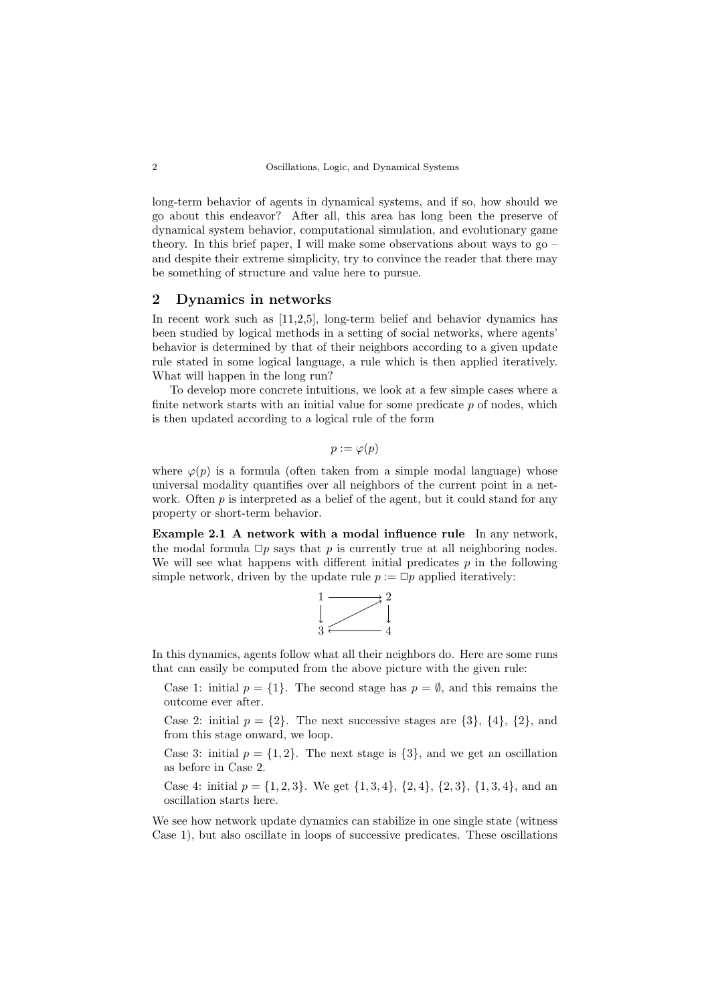long-term behavior of agents in dynamical systems, and if so, how should we go about this endeavor? After all, this area has long been the preserve of dynamical system behavior, computational simulation, and evolutionary game theory. In this brief paper, I will make some observations about ways to go – and despite their extreme simplicity, try to convince the reader that there may be something of structure and value here to pursue.

### <span id="page-1-0"></span>2 Dynamics in networks

In recent work such as [\[11](#page-12-1)[,2](#page-12-2)[,5\]](#page-12-3), long-term belief and behavior dynamics has been studied by logical methods in a setting of social networks, where agents' behavior is determined by that of their neighbors according to a given update rule stated in some logical language, a rule which is then applied iteratively. What will happen in the long run?

To develop more concrete intuitions, we look at a few simple cases where a finite network starts with an initial value for some predicate  $p$  of nodes, which is then updated according to a logical rule of the form

$$
p := \varphi(p)
$$

where  $\varphi(p)$  is a formula (often taken from a simple modal language) whose universal modality quantifies over all neighbors of the current point in a network. Often  $p$  is interpreted as a belief of the agent, but it could stand for any property or short-term behavior.

Example 2.1 A network with a modal influence rule In any network, the modal formula  $\Box p$  says that p is currently true at all neighboring nodes. We will see what happens with different initial predicates  $p$  in the following simple network, driven by the update rule  $p := \Box p$  applied iteratively:



In this dynamics, agents follow what all their neighbors do. Here are some runs that can easily be computed from the above picture with the given rule:

Case 1: initial  $p = \{1\}$ . The second stage has  $p = \emptyset$ , and this remains the outcome ever after.

Case 2: initial  $p = \{2\}$ . The next successive stages are  $\{3\}$ ,  $\{4\}$ ,  $\{2\}$ , and from this stage onward, we loop.

Case 3: initial  $p = \{1, 2\}$ . The next stage is  $\{3\}$ , and we get an oscillation as before in Case 2.

Case 4: initial  $p = \{1, 2, 3\}$ . We get  $\{1, 3, 4\}$ ,  $\{2, 4\}$ ,  $\{2, 3\}$ ,  $\{1, 3, 4\}$ , and an oscillation starts here.

We see how network update dynamics can stabilize in one single state (witness Case 1), but also oscillate in loops of successive predicates. These oscillations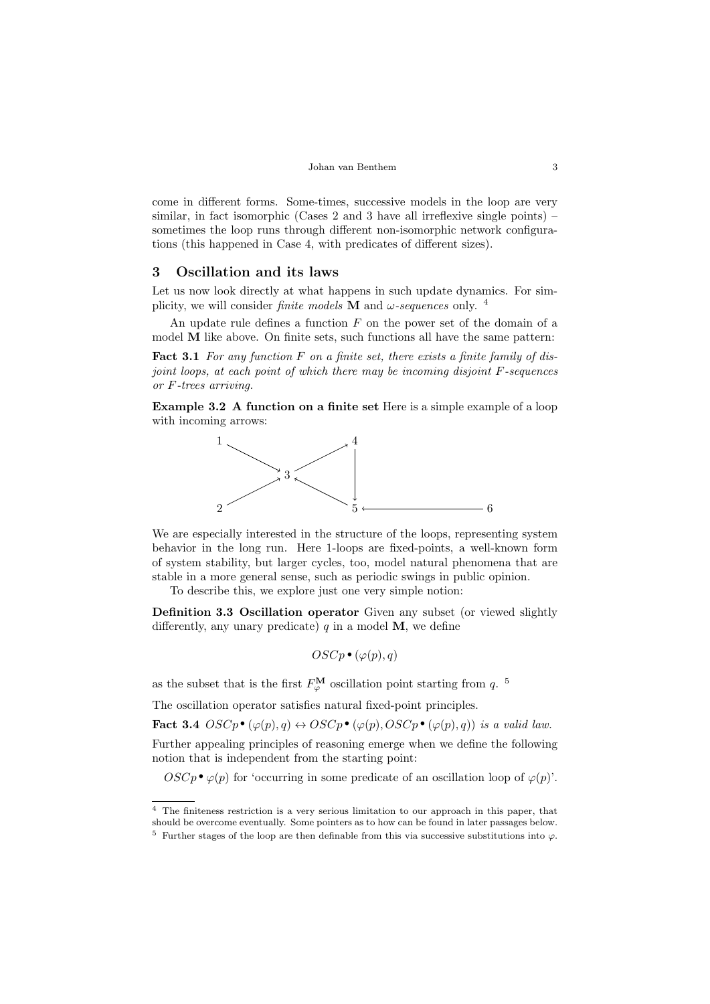come in different forms. Some-times, successive models in the loop are very similar, in fact isomorphic (Cases 2 and 3 have all irreflexive single points) – sometimes the loop runs through different non-isomorphic network configurations (this happened in Case 4, with predicates of different sizes).

#### 3 Oscillation and its laws

Let us now look directly at what happens in such update dynamics. For simplicity, we will consider *finite models* **M** and  $\omega$ -sequences only. <sup>[4](#page-2-0)</sup>

An update rule defines a function  $F$  on the power set of the domain of a model M like above. On finite sets, such functions all have the same pattern:

**Fact 3.1** For any function  $F$  on a finite set, there exists a finite family of disjoint loops, at each point of which there may be incoming disjoint F-sequences or F-trees arriving.

Example 3.2 A function on a finite set Here is a simple example of a loop with incoming arrows:



We are especially interested in the structure of the loops, representing system behavior in the long run. Here 1-loops are fixed-points, a well-known form of system stability, but larger cycles, too, model natural phenomena that are stable in a more general sense, such as periodic swings in public opinion.

To describe this, we explore just one very simple notion:

Definition 3.3 Oscillation operator Given any subset (or viewed slightly differently, any unary predicate)  $q$  in a model M, we define

$$
OSCp^{\bullet}(\varphi(p),q)
$$

as the subset that is the first  $F^{\mathbf{M}}_{\varphi}$  oscillation point starting from q. <sup>[5](#page-2-1)</sup>

The oscillation operator satisfies natural fixed-point principles.

The oscillation operator satisfies natural fixed-point principles.<br> **Fact 3.4**  $OSCp \bullet (\varphi(p), q) \leftrightarrow OSCp \bullet (\varphi(p), OSCp \bullet (\varphi(p), q))$  is a valid law.

Further appealing principles of reasoning emerge when we define the following notion that is independent from the starting point:

tion that is independent from the starting point:<br>  $OSCp \bullet \varphi(p)$  for 'occurring in some predicate of an oscillation loop of  $\varphi(p)$ '.

<span id="page-2-0"></span><sup>4</sup> The finiteness restriction is a very serious limitation to our approach in this paper, that should be overcome eventually. Some pointers as to how can be found in later passages below.

<span id="page-2-1"></span> $^5\,$  Further stages of the loop are then definable from this via successive substitutions into  $\varphi.$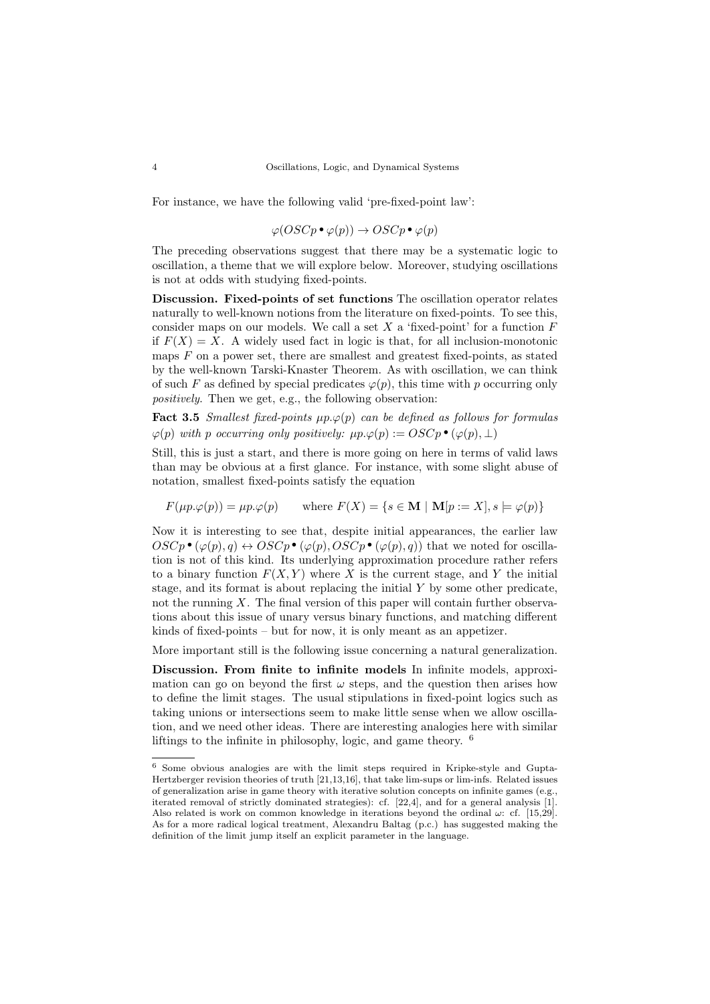For instance, we have the following valid 'pre-fixed-point law':

$$
\varphi (OSCp \bullet \varphi(p)) \to OSCp \bullet \varphi(p)
$$

The preceding observations suggest that there may be a systematic logic to oscillation, a theme that we will explore below. Moreover, studying oscillations is not at odds with studying fixed-points.

Discussion. Fixed-points of set functions The oscillation operator relates naturally to well-known notions from the literature on fixed-points. To see this, consider maps on our models. We call a set  $X$  a 'fixed-point' for a function  $F$ if  $F(X) = X$ . A widely used fact in logic is that, for all inclusion-monotonic maps  $F$  on a power set, there are smallest and greatest fixed-points, as stated by the well-known Tarski-Knaster Theorem. As with oscillation, we can think of such F as defined by special predicates  $\varphi(p)$ , this time with p occurring only positively. Then we get, e.g., the following observation:

**Fact 3.5** Smallest fixed-points  $\mu p.\varphi(p)$  can be defined as follows for formulas **Fact 3.5** Smallest fixed-points  $\mu p.\varphi(p)$  can be defined as follows  $\varphi(p)$  with p occurring only positively:  $\mu p.\varphi(p) := OSCp \bullet (\varphi(p), \perp)$ 

Still, this is just a start, and there is more going on here in terms of valid laws than may be obvious at a first glance. For instance, with some slight abuse of notation, smallest fixed-points satisfy the equation

$$
F(\mu p.\varphi(p)) = \mu p.\varphi(p) \quad \text{where } F(X) = \{ s \in \mathbf{M} \mid \mathbf{M}[p := X], s \models \varphi(p) \}
$$

Now it is interesting to see that, despite initial appearances, the earlier law Now it is interesting to see that, despite initial appearances, the earlier law<br>  $OSCp \bullet (\varphi(p), q) \leftrightarrow OSCp \bullet (\varphi(p), OSCp \bullet (\varphi(p), q))$  that we noted for oscilla-<br>
tion is not of this kind. Its underlying approximation procedure rather re tion is not of this kind. Its underlying approximation procedure rather refers to a binary function  $F(X, Y)$  where X is the current stage, and Y the initial stage, and its format is about replacing the initial Y by some other predicate, not the running  $X$ . The final version of this paper will contain further observations about this issue of unary versus binary functions, and matching different kinds of fixed-points – but for now, it is only meant as an appetizer.

More important still is the following issue concerning a natural generalization.

Discussion. From finite to infinite models In infinite models, approximation can go on beyond the first  $\omega$  steps, and the question then arises how to define the limit stages. The usual stipulations in fixed-point logics such as taking unions or intersections seem to make little sense when we allow oscillation, and we need other ideas. There are interesting analogies here with similar liftings to the infinite in philosophy, logic, and game theory. [6](#page-3-0)

<span id="page-3-0"></span><sup>6</sup> Some obvious analogies are with the limit steps required in Kripke-style and Gupta-Hertzberger revision theories of truth [\[21,](#page-13-1)[13,](#page-12-4)[16\]](#page-13-2), that take lim-sups or lim-infs. Related issues of generalization arise in game theory with iterative solution concepts on infinite games (e.g., iterated removal of strictly dominated strategies): cf. [\[22](#page-13-3)[,4\]](#page-12-5), and for a general analysis [\[1\]](#page-12-6). Also related is work on common knowledge in iterations beyond the ordinal  $\omega$ : cf. [\[15,](#page-13-4)[29\]](#page-13-5). As for a more radical logical treatment, Alexandru Baltag (p.c.) has suggested making the definition of the limit jump itself an explicit parameter in the language.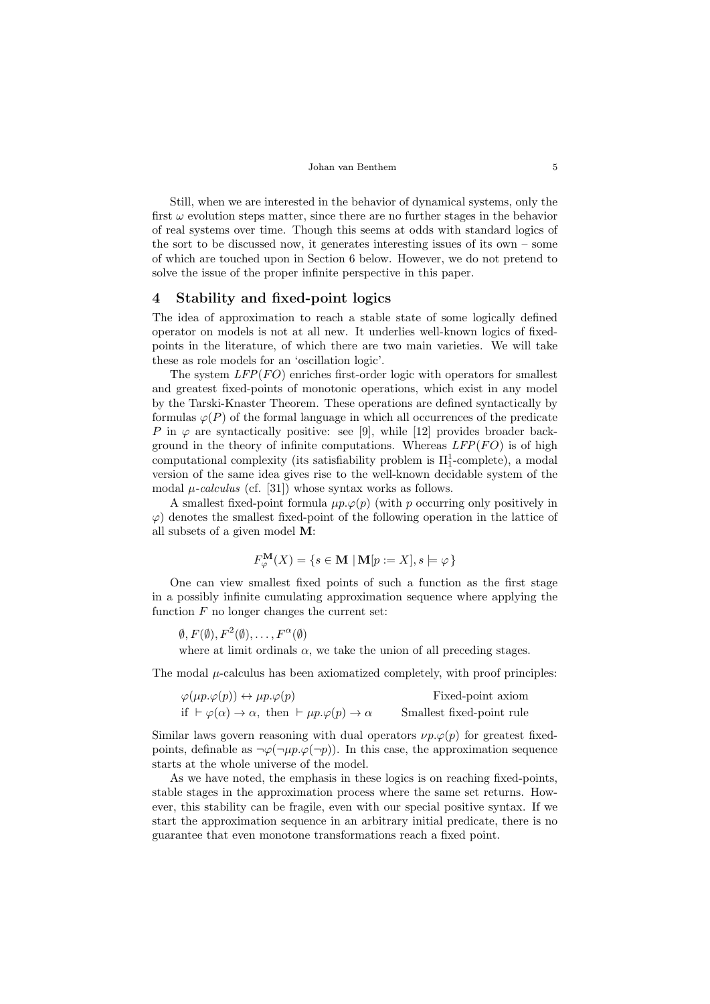#### Johan van Benthem 5

Still, when we are interested in the behavior of dynamical systems, only the first  $\omega$  evolution steps matter, since there are no further stages in the behavior of real systems over time. Though this seems at odds with standard logics of the sort to be discussed now, it generates interesting issues of its own – some of which are touched upon in Section [6](#page-8-0) below. However, we do not pretend to solve the issue of the proper infinite perspective in this paper.

### 4 Stability and fixed-point logics

The idea of approximation to reach a stable state of some logically defined operator on models is not at all new. It underlies well-known logics of fixedpoints in the literature, of which there are two main varieties. We will take these as role models for an 'oscillation logic'.

The system  $LFP(FO)$  enriches first-order logic with operators for smallest and greatest fixed-points of monotonic operations, which exist in any model by the Tarski-Knaster Theorem. These operations are defined syntactically by formulas  $\varphi(P)$  of the formal language in which all occurrences of the predicate P in  $\varphi$  are syntactically positive: see [\[9\]](#page-12-7), while [\[12\]](#page-12-8) provides broader background in the theory of infinite computations. Whereas  $LFP(FO)$  is of high computational complexity (its satisfiability problem is  $\Pi_1^1$ -complete), a modal version of the same idea gives rise to the well-known decidable system of the modal  $\mu$ -calculus (cf. [\[31\]](#page-13-6)) whose syntax works as follows.

A smallest fixed-point formula  $\mu p.\varphi(p)$  (with p occurring only positively in  $\varphi$ ) denotes the smallest fixed-point of the following operation in the lattice of all subsets of a given model M:

$$
F^{\mathbf{M}}_{\varphi}(X) = \{ s \in \mathbf{M} \mid \mathbf{M}[p := X], s \models \varphi \}
$$

One can view smallest fixed points of such a function as the first stage in a possibly infinite cumulating approximation sequence where applying the function  $F$  no longer changes the current set:

 $\emptyset, F(\emptyset), F^2(\emptyset), \ldots, F^{\alpha}(\emptyset)$ 

where at limit ordinals  $\alpha$ , we take the union of all preceding stages.

The modal  $\mu$ -calculus has been axiomatized completely, with proof principles:

| $\varphi(\mu p.\varphi(p)) \leftrightarrow \mu p.\varphi(p)$                       | Fixed-point axiom         |
|------------------------------------------------------------------------------------|---------------------------|
| if $\vdash \varphi(\alpha) \to \alpha$ , then $\vdash \mu p.\varphi(p) \to \alpha$ | Smallest fixed-point rule |

Similar laws govern reasoning with dual operators  $\nu p.\varphi(p)$  for greatest fixedpoints, definable as  $\neg \varphi(\neg \mu p.\varphi(\neg p))$ . In this case, the approximation sequence starts at the whole universe of the model.

As we have noted, the emphasis in these logics is on reaching fixed-points, stable stages in the approximation process where the same set returns. However, this stability can be fragile, even with our special positive syntax. If we start the approximation sequence in an arbitrary initial predicate, there is no guarantee that even monotone transformations reach a fixed point.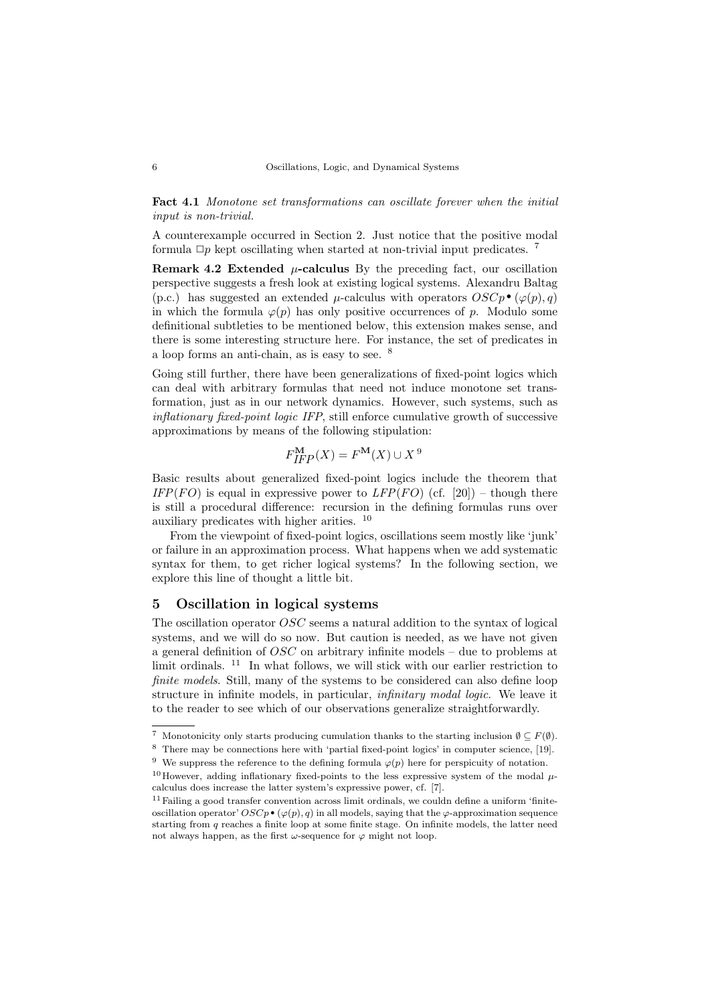Fact 4.1 Monotone set transformations can oscillate forever when the initial input is non-trivial.

A counterexample occurred in Section [2.](#page-1-0) Just notice that the positive modal formula  $\Box p$  kept oscillating when started at non-trivial input predicates. <sup>[7](#page-5-0)</sup>

**Remark 4.2 Extended**  $\mu$ **-calculus** By the preceding fact, our oscillation perspective suggests a fresh look at existing logical systems. Alexandru Baltag perspective suggests a fresh look at existing logical systems. Alexandru Baltag (p.c.) has suggested an extended  $\mu$ -calculus with operators  $OSCp \bullet (\varphi(p), q)$  in which the formula  $\varphi(p)$  has only positive occurrences of n. in which the formula  $\varphi(p)$  has only positive occurrences of p. Modulo some definitional subtleties to be mentioned below, this extension makes sense, and there is some interesting structure here. For instance, the set of predicates in a loop forms an anti-chain, as is easy to see. [8](#page-5-1)

Going still further, there have been generalizations of fixed-point logics which can deal with arbitrary formulas that need not induce monotone set transformation, just as in our network dynamics. However, such systems, such as inflationary fixed-point logic IFP, still enforce cumulative growth of successive approximations by means of the following stipulation:

$$
F_{IFP}^{\mathbf{M}}(X) = F^{\mathbf{M}}(X) \cup X^9
$$

Basic results about generalized fixed-point logics include the theorem that IFP(FO) is equal in expressive power to LFP(FO) (cf. [\[20\]](#page-13-7)) – though there is still a procedural difference: recursion in the defining formulas runs over auxiliary predicates with higher arities. [10](#page-5-3)

From the viewpoint of fixed-point logics, oscillations seem mostly like 'junk' or failure in an approximation process. What happens when we add systematic syntax for them, to get richer logical systems? In the following section, we explore this line of thought a little bit.

## 5 Oscillation in logical systems

The oscillation operator OSC seems a natural addition to the syntax of logical systems, and we will do so now. But caution is needed, as we have not given a general definition of OSC on arbitrary infinite models – due to problems at limit ordinals.  $11$  In what follows, we will stick with our earlier restriction to finite models. Still, many of the systems to be considered can also define loop structure in infinite models, in particular, infinitary modal logic. We leave it to the reader to see which of our observations generalize straightforwardly.

<span id="page-5-0"></span><sup>&</sup>lt;sup>7</sup> Monotonicity only starts producing cumulation thanks to the starting inclusion  $\emptyset \subseteq F(\emptyset)$ .

<span id="page-5-1"></span><sup>8</sup> There may be connections here with 'partial fixed-point logics' in computer science, [\[19\]](#page-13-8).

<span id="page-5-2"></span><sup>&</sup>lt;sup>9</sup> We suppress the reference to the defining formula  $\varphi(p)$  here for perspicuity of notation.

<span id="page-5-3"></span><sup>&</sup>lt;sup>10</sup>However, adding inflationary fixed-points to the less expressive system of the modal  $\mu$ calculus does increase the latter system's expressive power, cf. [\[7\]](#page-12-9).

<span id="page-5-4"></span> $11$  Failing a good transfer convention across limit ordinals, we couldn define a uniform 'finiteoscillation operator'  $OSCp \bullet (\varphi(p), q)$  in all models, saying that the  $\varphi$ -approximation sequence starting from q reaches a finite loop at some finite stage. On infinite models, the latter need not always happen, as the first  $\omega$ -sequence for  $\varphi$  might not loop.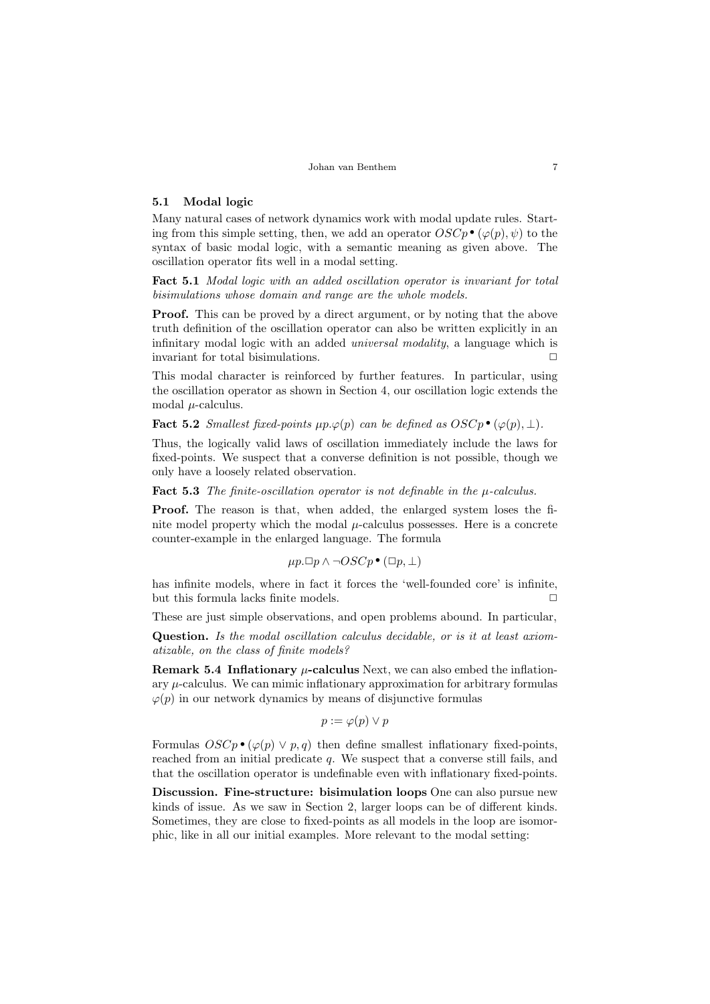### 5.1 Modal logic

Many natural cases of network dynamics work with modal update rules. Start-<br>ing from this simple setting, then, we add an operator  $OSCp \bullet (\varphi(p), \psi)$  to the<br>syntax of basic modal logic, with a semantic meaning as given above ing from this simple setting, then, we add an operator  $OSCp \bullet (\varphi(p), \psi)$  to the syntax of basic modal logic, with a semantic meaning as given above. The oscillation operator fits well in a modal setting.

Fact 5.1 Modal logic with an added oscillation operator is invariant for total bisimulations whose domain and range are the whole models.

**Proof.** This can be proved by a direct argument, or by noting that the above truth definition of the oscillation operator can also be written explicitly in an infinitary modal logic with an added universal modality, a language which is invariant for total bisimulations.  $\Box$ 

This modal character is reinforced by further features. In particular, using the oscillation operator as shown in Section 4, our oscillation logic extends the modal  $\mu$ -calculus.

Fact 5.2 *Smallest fixed-points µp.* $\varphi(p)$  *can be defined as OSCp* •  $(\varphi(p), \perp)$ .

Thus, the logically valid laws of oscillation immediately include the laws for fixed-points. We suspect that a converse definition is not possible, though we only have a loosely related observation.

**Fact 5.3** The finite-oscillation operator is not definable in the  $\mu$ -calculus.

Proof. The reason is that, when added, the enlarged system loses the finite model property which the modal  $\mu$ -calculus possesses. Here is a concrete counter-example in the enlarged language. The formula

$$
\mu p.\Box p \land \neg OSCp \bullet (\Box p, \bot)
$$

has infinite models, where in fact it forces the 'well-founded core' is infinite, but this formula lacks finite models.  $\hfill \Box$ 

These are just simple observations, and open problems abound. In particular,

Question. Is the modal oscillation calculus decidable, or is it at least axiomatizable, on the class of finite models?

**Remark 5.4 Inflationary**  $\mu$ **-calculus** Next, we can also embed the inflationary  $\mu$ -calculus. We can mimic inflationary approximation for arbitrary formulas  $\varphi(p)$  in our network dynamics by means of disjunctive formulas

$$
p := \varphi(p) \vee p
$$

Formulas  $OSCp \bullet (\varphi(p) \lor p, q)$  then define smallest inflationary fixed-points, reached from an initial predicate q. We suspect that a converse still fails, and that the oscillation operator is undefinable even with inflationary fixed-points.

Discussion. Fine-structure: bisimulation loops One can also pursue new kinds of issue. As we saw in Section [2,](#page-1-0) larger loops can be of different kinds. Sometimes, they are close to fixed-points as all models in the loop are isomorphic, like in all our initial examples. More relevant to the modal setting: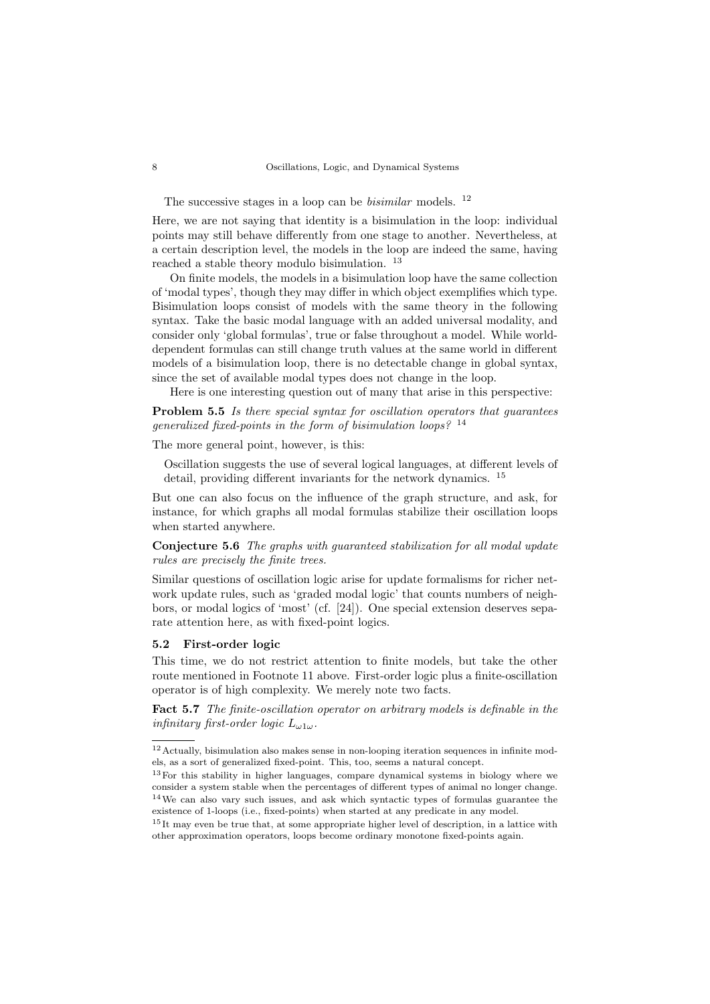The successive stages in a loop can be *bisimilar* models.  $12$ 

Here, we are not saying that identity is a bisimulation in the loop: individual points may still behave differently from one stage to another. Nevertheless, at a certain description level, the models in the loop are indeed the same, having reached a stable theory modulo bisimulation. [13](#page-7-1)

On finite models, the models in a bisimulation loop have the same collection of 'modal types', though they may differ in which object exemplifies which type. Bisimulation loops consist of models with the same theory in the following syntax. Take the basic modal language with an added universal modality, and consider only 'global formulas', true or false throughout a model. While worlddependent formulas can still change truth values at the same world in different models of a bisimulation loop, there is no detectable change in global syntax, since the set of available modal types does not change in the loop.

Here is one interesting question out of many that arise in this perspective:

Problem 5.5 Is there special syntax for oscillation operators that guarantees generalized fixed-points in the form of bisimulation loops?  $^{14}$  $^{14}$  $^{14}$ 

The more general point, however, is this:

Oscillation suggests the use of several logical languages, at different levels of detail, providing different invariants for the network dynamics. [15](#page-7-3)

But one can also focus on the influence of the graph structure, and ask, for instance, for which graphs all modal formulas stabilize their oscillation loops when started anywhere.

Conjecture 5.6 The graphs with guaranteed stabilization for all modal update rules are precisely the finite trees.

Similar questions of oscillation logic arise for update formalisms for richer network update rules, such as 'graded modal logic' that counts numbers of neighbors, or modal logics of 'most' (cf. [\[24\]](#page-13-9)). One special extension deserves separate attention here, as with fixed-point logics.

#### 5.2 First-order logic

This time, we do not restrict attention to finite models, but take the other route mentioned in Footnote 11 above. First-order logic plus a finite-oscillation operator is of high complexity. We merely note two facts.

Fact 5.7 The finite-oscillation operator on arbitrary models is definable in the infinitary first-order logic  $L_{\omega 1\omega}$ .

<span id="page-7-0"></span> $^{12}\,$  Actually, bisimulation also makes sense in non-looping iteration sequences in infinite models, as a sort of generalized fixed-point. This, too, seems a natural concept.

<span id="page-7-2"></span><span id="page-7-1"></span><sup>13</sup>For this stability in higher languages, compare dynamical systems in biology where we consider a system stable when the percentages of different types of animal no longer change. <sup>14</sup>We can also vary such issues, and ask which syntactic types of formulas guarantee the existence of 1-loops (i.e., fixed-points) when started at any predicate in any model.

<span id="page-7-3"></span><sup>&</sup>lt;sup>15</sup> It may even be true that, at some appropriate higher level of description, in a lattice with other approximation operators, loops become ordinary monotone fixed-points again.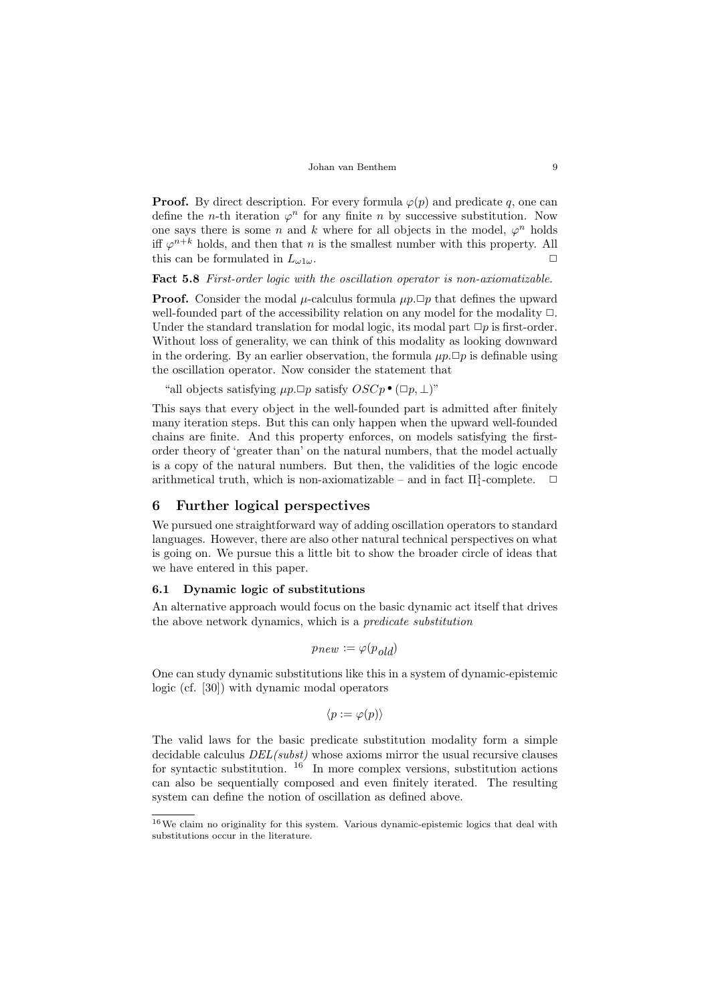**Proof.** By direct description. For every formula  $\varphi(p)$  and predicate q, one can define the *n*-th iteration  $\varphi^n$  for any finite *n* by successive substitution. Now one says there is some n and k where for all objects in the model,  $\varphi^n$  holds iff  $\varphi^{n+k}$  holds, and then that n is the smallest number with this property. All this can be formulated in  $L_{\omega 1\omega}$ .

Fact 5.8 First-order logic with the oscillation operator is non-axiomatizable.

**Proof.** Consider the modal *u*-calculus formula  $\mu p$ .  $\Box p$  that defines the upward well-founded part of the accessibility relation on any model for the modality  $\Box$ . Under the standard translation for modal logic, its modal part  $\Box p$  is first-order. Without loss of generality, we can think of this modality as looking downward in the ordering. By an earlier observation, the formula  $\mu p.\Box p$  is definable using the oscillation operator. Now consider the statement that

e oscillation operator. Now consider the statement tree<br>
"all objects satisfying  $\mu p \Box p$  satisfy  $OSCp \bullet (\Box p, \bot)$ "

This says that every object in the well-founded part is admitted after finitely many iteration steps. But this can only happen when the upward well-founded chains are finite. And this property enforces, on models satisfying the firstorder theory of 'greater than' on the natural numbers, that the model actually is a copy of the natural numbers. But then, the validities of the logic encode arithmetical truth, which is non-axiomatizable – and in fact  $\Pi_1^1$ -complete.  $\Box$ 

# <span id="page-8-0"></span>6 Further logical perspectives

We pursued one straightforward way of adding oscillation operators to standard languages. However, there are also other natural technical perspectives on what is going on. We pursue this a little bit to show the broader circle of ideas that we have entered in this paper.

#### 6.1 Dynamic logic of substitutions

An alternative approach would focus on the basic dynamic act itself that drives the above network dynamics, which is a predicate substitution

$$
p_{new} := \varphi(p_{old})
$$

One can study dynamic substitutions like this in a system of dynamic-epistemic logic (cf. [\[30\]](#page-13-10)) with dynamic modal operators

$$
\langle p := \varphi(p) \rangle
$$

The valid laws for the basic predicate substitution modality form a simple decidable calculus  $DEL(subst)$  whose axioms mirror the usual recursive clauses for syntactic substitution.  $16$  In more complex versions, substitution actions can also be sequentially composed and even finitely iterated. The resulting system can define the notion of oscillation as defined above.

<span id="page-8-1"></span> $^{16}\mathrm{We}$  claim no originality for this system. Various dynamic-epistemic logics that deal with substitutions occur in the literature.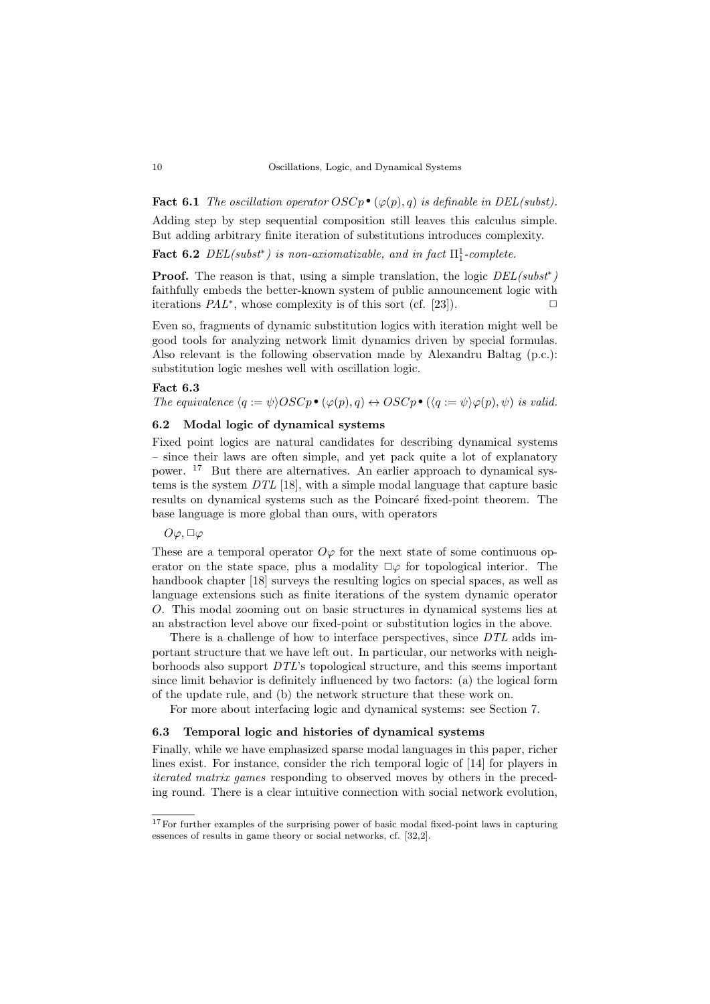**Fact 6.1** The oscillation operator  $OSCp \bullet (\varphi(p), q)$  is definable in DEL(subst).

Adding step by step sequential composition still leaves this calculus simple. But adding arbitrary finite iteration of substitutions introduces complexity.

Fact 6.2  $DEL(subst^*)$  is non-axiomatizable, and in fact  $\Pi_1^1$ -complete.

**Proof.** The reason is that, using a simple translation, the logic  $DEL(subst^*)$ faithfully embeds the better-known system of public announcement logic with iterations  $PAL^*$ , whose complexity is of this sort (cf. [\[23\]](#page-13-11)).

Even so, fragments of dynamic substitution logics with iteration might well be good tools for analyzing network limit dynamics driven by special formulas. Also relevant is the following observation made by Alexandru Baltag (p.c.): substitution logic meshes well with oscillation logic.

#### Fact 6.3

**Fact 6.3**<br>The equivalence  $\langle q := \psi \rangle OSCp \bullet (\varphi(p), q) \leftrightarrow OSCp \bullet (\langle q := \psi \rangle \varphi(p), \psi)$  is valid.

# 6.2 Modal logic of dynamical systems

Fixed point logics are natural candidates for describing dynamical systems – since their laws are often simple, and yet pack quite a lot of explanatory power. [17](#page-9-0) But there are alternatives. An earlier approach to dynamical systems is the system DTL [\[18\]](#page-13-12), with a simple modal language that capture basic results on dynamical systems such as the Poincaré fixed-point theorem. The base language is more global than ours, with operators

#### $O\varphi, \Box\varphi$

These are a temporal operator  $O\varphi$  for the next state of some continuous operator on the state space, plus a modality  $\Box \varphi$  for topological interior. The handbook chapter [\[18\]](#page-13-12) surveys the resulting logics on special spaces, as well as language extensions such as finite iterations of the system dynamic operator O. This modal zooming out on basic structures in dynamical systems lies at an abstraction level above our fixed-point or substitution logics in the above.

There is a challenge of how to interface perspectives, since DTL adds important structure that we have left out. In particular, our networks with neighborhoods also support DTL's topological structure, and this seems important since limit behavior is definitely influenced by two factors: (a) the logical form of the update rule, and (b) the network structure that these work on.

For more about interfacing logic and dynamical systems: see Section [7.](#page-10-0)

#### 6.3 Temporal logic and histories of dynamical systems

Finally, while we have emphasized sparse modal languages in this paper, richer lines exist. For instance, consider the rich temporal logic of [\[14\]](#page-13-13) for players in iterated matrix games responding to observed moves by others in the preceding round. There is a clear intuitive connection with social network evolution,

<span id="page-9-0"></span><sup>&</sup>lt;sup>17</sup>For further examples of the surprising power of basic modal fixed-point laws in capturing essences of results in game theory or social networks, cf. [\[32,](#page-13-14)[2\]](#page-12-2).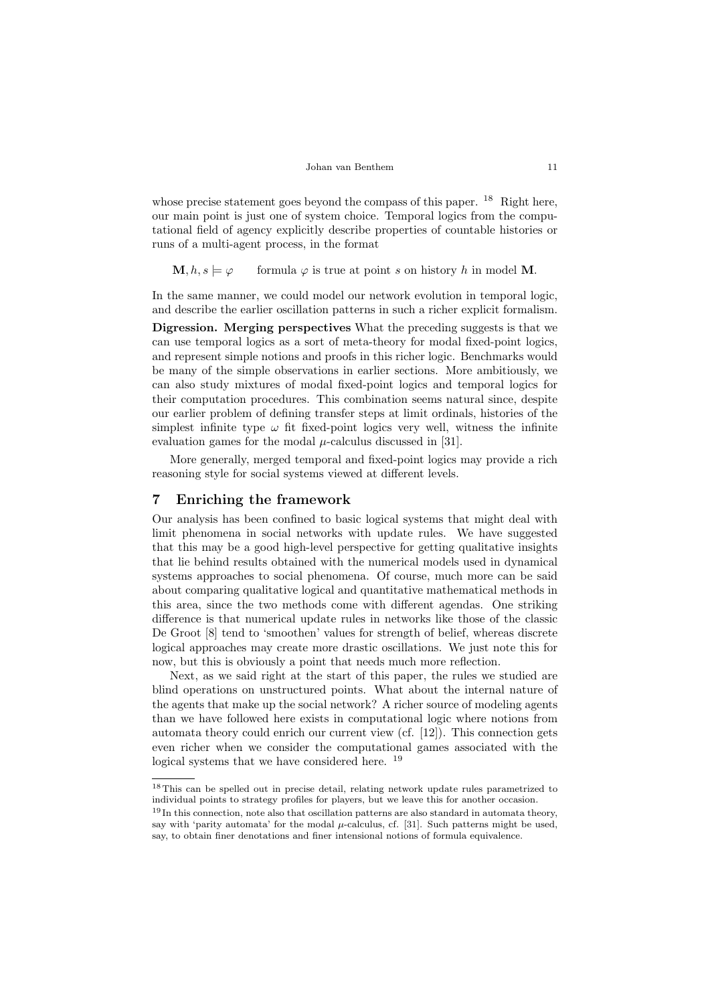whose precise statement goes beyond the compass of this paper. <sup>[18](#page-10-1)</sup> Right here, our main point is just one of system choice. Temporal logics from the computational field of agency explicitly describe properties of countable histories or runs of a multi-agent process, in the format

 $\mathbf{M}, h, s \models \varphi$  formula  $\varphi$  is true at point s on history h in model M.

In the same manner, we could model our network evolution in temporal logic, and describe the earlier oscillation patterns in such a richer explicit formalism.

Digression. Merging perspectives What the preceding suggests is that we can use temporal logics as a sort of meta-theory for modal fixed-point logics, and represent simple notions and proofs in this richer logic. Benchmarks would be many of the simple observations in earlier sections. More ambitiously, we can also study mixtures of modal fixed-point logics and temporal logics for their computation procedures. This combination seems natural since, despite our earlier problem of defining transfer steps at limit ordinals, histories of the simplest infinite type  $\omega$  fit fixed-point logics very well, witness the infinite evaluation games for the modal  $\mu$ -calculus discussed in [\[31\]](#page-13-6).

More generally, merged temporal and fixed-point logics may provide a rich reasoning style for social systems viewed at different levels.

### <span id="page-10-0"></span>7 Enriching the framework

Our analysis has been confined to basic logical systems that might deal with limit phenomena in social networks with update rules. We have suggested that this may be a good high-level perspective for getting qualitative insights that lie behind results obtained with the numerical models used in dynamical systems approaches to social phenomena. Of course, much more can be said about comparing qualitative logical and quantitative mathematical methods in this area, since the two methods come with different agendas. One striking difference is that numerical update rules in networks like those of the classic De Groot [\[8\]](#page-12-10) tend to 'smoothen' values for strength of belief, whereas discrete logical approaches may create more drastic oscillations. We just note this for now, but this is obviously a point that needs much more reflection.

Next, as we said right at the start of this paper, the rules we studied are blind operations on unstructured points. What about the internal nature of the agents that make up the social network? A richer source of modeling agents than we have followed here exists in computational logic where notions from automata theory could enrich our current view (cf. [\[12\]](#page-12-8)). This connection gets even richer when we consider the computational games associated with the logical systems that we have considered here. [19](#page-10-2)

<span id="page-10-1"></span><sup>18</sup>This can be spelled out in precise detail, relating network update rules parametrized to individual points to strategy profiles for players, but we leave this for another occasion.

<span id="page-10-2"></span><sup>&</sup>lt;sup>19</sup> In this connection, note also that oscillation patterns are also standard in automata theory, say with 'parity automata' for the modal  $\mu$ -calculus, cf. [\[31\]](#page-13-6). Such patterns might be used, say, to obtain finer denotations and finer intensional notions of formula equivalence.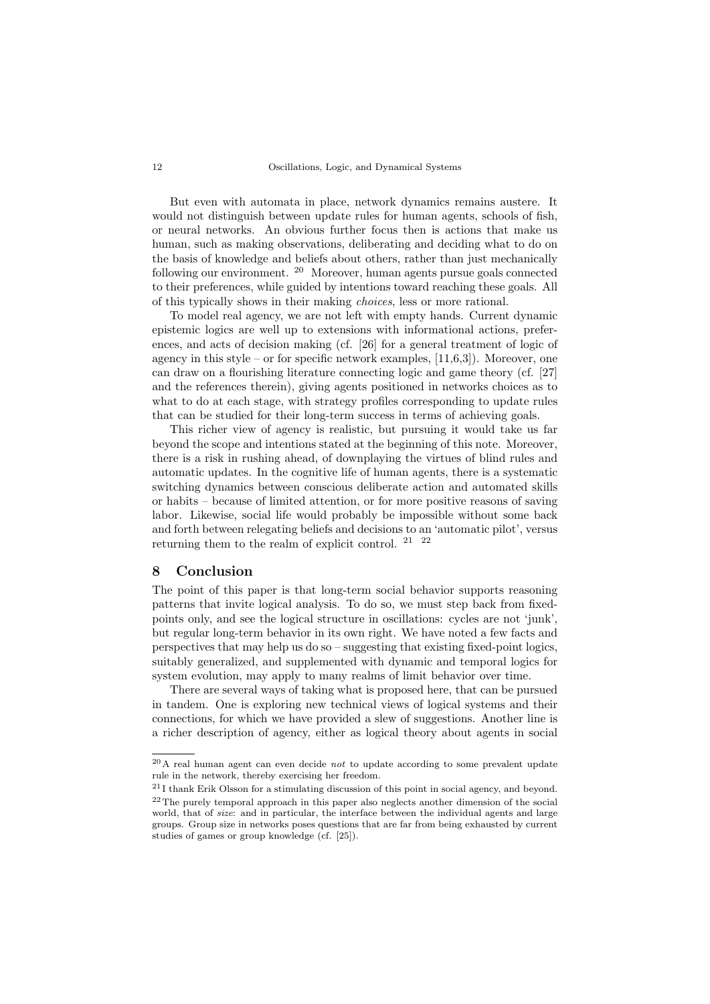But even with automata in place, network dynamics remains austere. It would not distinguish between update rules for human agents, schools of fish, or neural networks. An obvious further focus then is actions that make us human, such as making observations, deliberating and deciding what to do on the basis of knowledge and beliefs about others, rather than just mechanically following our environment. [20](#page-11-0) Moreover, human agents pursue goals connected to their preferences, while guided by intentions toward reaching these goals. All of this typically shows in their making choices, less or more rational.

To model real agency, we are not left with empty hands. Current dynamic epistemic logics are well up to extensions with informational actions, preferences, and acts of decision making (cf. [\[26\]](#page-13-15) for a general treatment of logic of agency in this style – or for specific network examples,  $[11,6,3]$  $[11,6,3]$  $[11,6,3]$ ). Moreover, one can draw on a flourishing literature connecting logic and game theory (cf. [\[27\]](#page-13-16) and the references therein), giving agents positioned in networks choices as to what to do at each stage, with strategy profiles corresponding to update rules that can be studied for their long-term success in terms of achieving goals.

This richer view of agency is realistic, but pursuing it would take us far beyond the scope and intentions stated at the beginning of this note. Moreover, there is a risk in rushing ahead, of downplaying the virtues of blind rules and automatic updates. In the cognitive life of human agents, there is a systematic switching dynamics between conscious deliberate action and automated skills or habits – because of limited attention, or for more positive reasons of saving labor. Likewise, social life would probably be impossible without some back and forth between relegating beliefs and decisions to an 'automatic pilot', versus returning them to the realm of explicit control. [21](#page-11-1) [22](#page-11-2)

# 8 Conclusion

The point of this paper is that long-term social behavior supports reasoning patterns that invite logical analysis. To do so, we must step back from fixedpoints only, and see the logical structure in oscillations: cycles are not 'junk', but regular long-term behavior in its own right. We have noted a few facts and perspectives that may help us do so – suggesting that existing fixed-point logics, suitably generalized, and supplemented with dynamic and temporal logics for system evolution, may apply to many realms of limit behavior over time.

There are several ways of taking what is proposed here, that can be pursued in tandem. One is exploring new technical views of logical systems and their connections, for which we have provided a slew of suggestions. Another line is a richer description of agency, either as logical theory about agents in social

<span id="page-11-0"></span> $^{20}$ A real human agent can even decide *not* to update according to some prevalent update rule in the network, thereby exercising her freedom.

<span id="page-11-2"></span><span id="page-11-1"></span><sup>21</sup> I thank Erik Olsson for a stimulating discussion of this point in social agency, and beyond. <sup>22</sup>The purely temporal approach in this paper also neglects another dimension of the social world, that of size: and in particular, the interface between the individual agents and large groups. Group size in networks poses questions that are far from being exhausted by current studies of games or group knowledge (cf. [\[25\]](#page-13-17)).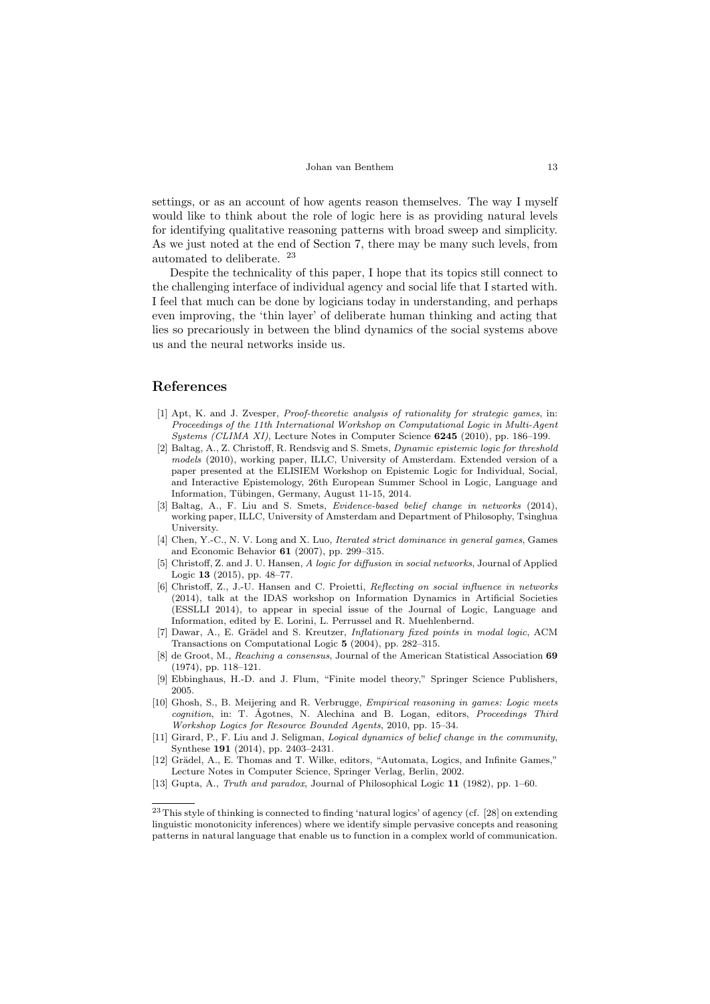Johan van Benthem 13

settings, or as an account of how agents reason themselves. The way I myself would like to think about the role of logic here is as providing natural levels for identifying qualitative reasoning patterns with broad sweep and simplicity. As we just noted at the end of Section [7,](#page-10-0) there may be many such levels, from automated to deliberate. [23](#page-12-13)

Despite the technicality of this paper, I hope that its topics still connect to the challenging interface of individual agency and social life that I started with. I feel that much can be done by logicians today in understanding, and perhaps even improving, the 'thin layer' of deliberate human thinking and acting that lies so precariously in between the blind dynamics of the social systems above us and the neural networks inside us.

### References

- <span id="page-12-6"></span>[1] Apt, K. and J. Zvesper, Proof-theoretic analysis of rationality for strategic games, in: Proceedings of the 11th International Workshop on Computational Logic in Multi-Agent Systems (CLIMA XI), Lecture Notes in Computer Science 6245 (2010), pp. 186–199.
- <span id="page-12-2"></span>[2] Baltag, A., Z. Christoff, R. Rendsvig and S. Smets, Dynamic epistemic logic for threshold models (2010), working paper, ILLC, University of Amsterdam. Extended version of a paper presented at the ELISIEM Workshop on Epistemic Logic for Individual, Social, and Interactive Epistemology, 26th European Summer School in Logic, Language and Information, Tübingen, Germany, August 11-15, 2014.
- <span id="page-12-12"></span>[3] Baltag, A., F. Liu and S. Smets, Evidence-based belief change in networks (2014), working paper, ILLC, University of Amsterdam and Department of Philosophy, Tsinghua **University**
- <span id="page-12-5"></span>[4] Chen, Y.-C., N. V. Long and X. Luo, Iterated strict dominance in general games, Games and Economic Behavior 61 (2007), pp. 299–315.
- <span id="page-12-3"></span>[5] Christoff, Z. and J. U. Hansen, A logic for diffusion in social networks, Journal of Applied Logic 13 (2015), pp. 48–77.
- <span id="page-12-11"></span>[6] Christoff, Z., J.-U. Hansen and C. Proietti, Reflecting on social influence in networks (2014), talk at the IDAS workshop on Information Dynamics in Artificial Societies (ESSLLI 2014), to appear in special issue of the Journal of Logic, Language and Information, edited by E. Lorini, L. Perrussel and R. Muehlenbernd.
- <span id="page-12-9"></span>[7] Dawar, A., E. Grädel and S. Kreutzer, *Inflationary fixed points in modal logic*, ACM Transactions on Computational Logic 5 (2004), pp. 282–315.
- <span id="page-12-10"></span>[8] de Groot, M., Reaching a consensus, Journal of the American Statistical Association 69 (1974), pp. 118–121.
- <span id="page-12-7"></span>[9] Ebbinghaus, H.-D. and J. Flum, "Finite model theory," Springer Science Publishers, 2005.
- <span id="page-12-0"></span>[10] Ghosh, S., B. Meijering and R. Verbrugge, *Empirical reasoning in games: Logic meets* cognition, in: T. Ågotnes, N. Alechina and B. Logan, editors, *Proceedings Third* Workshop Logics for Resource Bounded Agents, 2010, pp. 15–34.
- <span id="page-12-1"></span>[11] Girard, P., F. Liu and J. Seligman, Logical dynamics of belief change in the community, Synthese 191 (2014), pp. 2403–2431.
- <span id="page-12-8"></span>[12] Grädel, A., E. Thomas and T. Wilke, editors, "Automata, Logics, and Infinite Games," Lecture Notes in Computer Science, Springer Verlag, Berlin, 2002.
- <span id="page-12-4"></span>[13] Gupta, A., Truth and paradox, Journal of Philosophical Logic 11 (1982), pp. 1–60.

<span id="page-12-13"></span><sup>&</sup>lt;sup>23</sup>This style of thinking is connected to finding 'natural logics' of agency (cf. [\[28\]](#page-13-18) on extending linguistic monotonicity inferences) where we identify simple pervasive concepts and reasoning patterns in natural language that enable us to function in a complex world of communication.